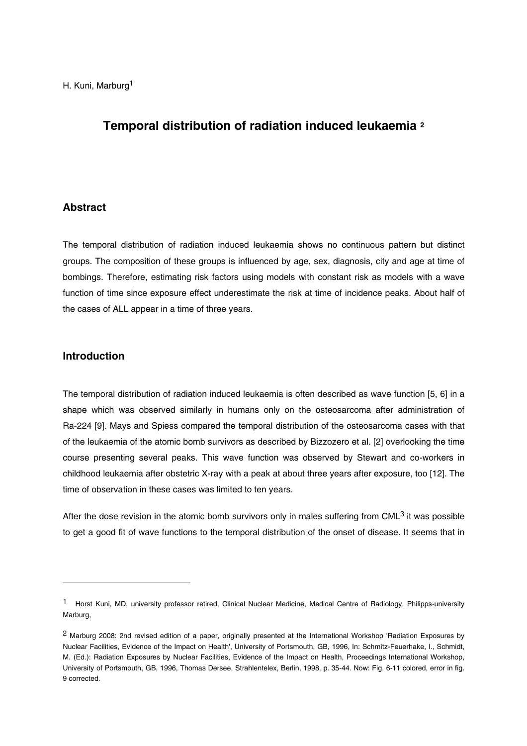# **Temporal distribution of radiation induced leukaemia 2**

### **Abstract**

The temporal distribution of radiation induced leukaemia shows no continuous pattern but distinct groups. The composition of these groups is influenced by age, sex, diagnosis, city and age at time of bombings. Therefore, estimating risk factors using models with constant risk as models with a wave function of time since exposure effect underestimate the risk at time of incidence peaks. About half of the cases of ALL appear in a time of three years.

### **Introduction**

-

The temporal distribution of radiation induced leukaemia is often described as wave function [5, 6] in a shape which was observed similarly in humans only on the osteosarcoma after administration of Ra-224 [9]. Mays and Spiess compared the temporal distribution of the osteosarcoma cases with that of the leukaemia of the atomic bomb survivors as described by Bizzozero et al. [2] overlooking the time course presenting several peaks. This wave function was observed by Stewart and co-workers in childhood leukaemia after obstetric X-ray with a peak at about three years after exposure, too [12]. The time of observation in these cases was limited to ten years.

After the dose revision in the atomic bomb survivors only in males suffering from CML<sup>3</sup> it was possible to get a good fit of wave functions to the temporal distribution of the onset of disease. It seems that in

<sup>1</sup> Horst Kuni, MD, university professor retired, Clinical Nuclear Medicine, Medical Centre of Radiology, Philipps-university Marburg,

<sup>2</sup> Marburg 2008: 2nd revised edition of a paper, originally presented at the International Workshop 'Radiation Exposures by Nuclear Facilities, Evidence of the Impact on Health', University of Portsmouth, GB, 1996, In: Schmitz-Feuerhake, I., Schmidt, M. (Ed.): Radiation Exposures by Nuclear Facilities, Evidence of the Impact on Health, Proceedings International Workshop, University of Portsmouth, GB, 1996, Thomas Dersee, Strahlentelex, Berlin, 1998, p. 35-44. Now: Fig. 6-11 colored, error in fig. 9 corrected.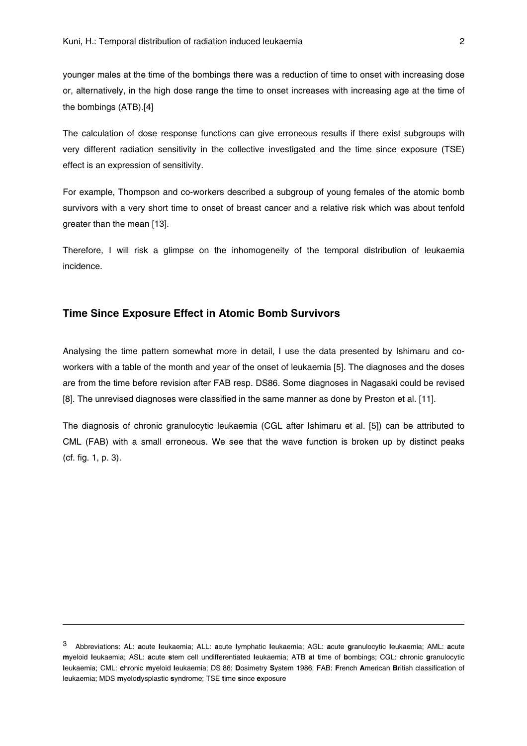younger males at the time of the bombings there was a reduction of time to onset with increasing dose or, alternatively, in the high dose range the time to onset increases with increasing age at the time of the bombings (ATB).[4]

The calculation of dose response functions can give erroneous results if there exist subgroups with very different radiation sensitivity in the collective investigated and the time since exposure (TSE) effect is an expression of sensitivity.

For example, Thompson and co-workers described a subgroup of young females of the atomic bomb survivors with a very short time to onset of breast cancer and a relative risk which was about tenfold greater than the mean [13].

Therefore, I will risk a glimpse on the inhomogeneity of the temporal distribution of leukaemia incidence.

#### **Time Since Exposure Effect in Atomic Bomb Survivors**

-

Analysing the time pattern somewhat more in detail, I use the data presented by Ishimaru and coworkers with a table of the month and year of the onset of leukaemia [5]. The diagnoses and the doses are from the time before revision after FAB resp. DS86. Some diagnoses in Nagasaki could be revised [8]. The unrevised diagnoses were classified in the same manner as done by Preston et al. [11].

The diagnosis of chronic granulocytic leukaemia (CGL after Ishimaru et al. [5]) can be attributed to CML (FAB) with a small erroneous. We see that the wave function is broken up by distinct peaks (cf. fig. 1, p. 3).

<sup>3</sup> Abbreviations: AL: **a**cute **l**eukaemia; ALL: **a**cute **l**ymphatic **l**eukaemia; AGL: **a**cute **g**ranulocytic **l**eukaemia; AML: **a**cute **m**yeloid **l**eukaemia; ASL: **a**cute **s**tem cell undifferentiated **l**eukaemia; ATB **a**t **t**ime of **b**ombings; CGL: **c**hronic **g**ranulocytic **l**eukaemia; CML: **c**hronic **m**yeloid **l**eukaemia; DS 86: **D**osimetry **S**ystem 1986; FAB: **F**rench **A**merican **B**ritish classification of leukaemia; MDS **m**yelo**d**ysplastic **s**yndrome; TSE **t**ime **s**ince **e**xposure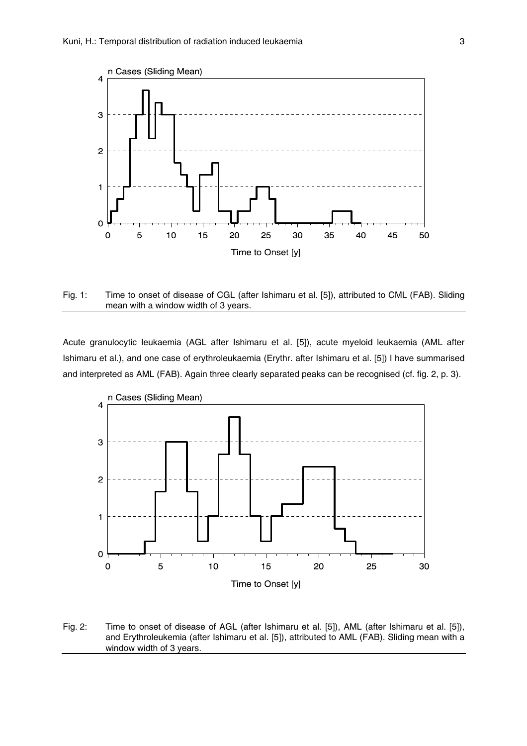

Fig. 1: Time to onset of disease of CGL (after Ishimaru et al. [5]), attributed to CML (FAB). Sliding mean with a window width of 3 years.

Acute granulocytic leukaemia (AGL after Ishimaru et al. [5]), acute myeloid leukaemia (AML after Ishimaru et al.), and one case of erythroleukaemia (Erythr. after Ishimaru et al. [5]) I have summarised and interpreted as AML (FAB). Again three clearly separated peaks can be recognised (cf. fig. 2, p. 3).



Fig. 2: Time to onset of disease of AGL (after Ishimaru et al. [5]), AML (after Ishimaru et al. [5]), and Erythroleukemia (after Ishimaru et al. [5]), attributed to AML (FAB). Sliding mean with a window width of 3 years.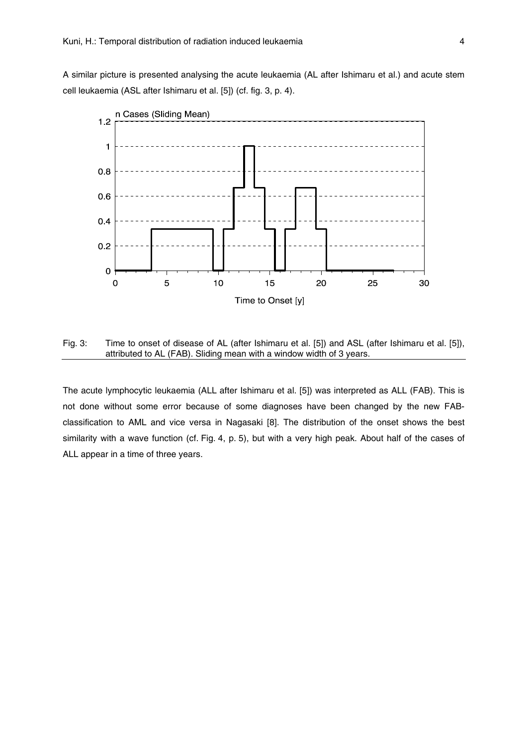A similar picture is presented analysing the acute leukaemia (AL after Ishimaru et al.) and acute stem cell leukaemia (ASL after Ishimaru et al. [5]) (cf. fig. 3, p. 4).



Fig. 3: Time to onset of disease of AL (after Ishimaru et al. [5]) and ASL (after Ishimaru et al. [5]), attributed to AL (FAB). Sliding mean with a window width of 3 years.

The acute lymphocytic leukaemia (ALL after Ishimaru et al. [5]) was interpreted as ALL (FAB). This is not done without some error because of some diagnoses have been changed by the new FABclassification to AML and vice versa in Nagasaki [8]. The distribution of the onset shows the best similarity with a wave function (cf. Fig. 4, p. 5), but with a very high peak. About half of the cases of ALL appear in a time of three years.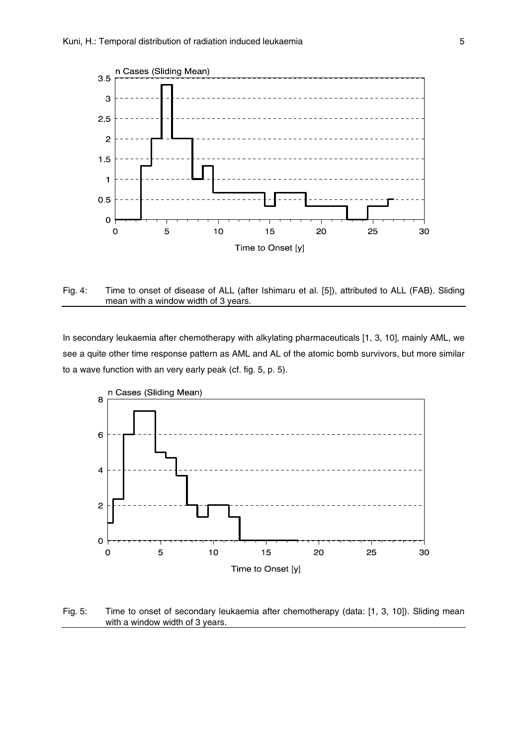

Fig. 4: Time to onset of disease of ALL (after Ishimaru et al. [5]), attributed to ALL (FAB). Sliding mean with a window width of 3 years.

In secondary leukaemia after chemotherapy with alkylating pharmaceuticals [1, 3, 10], mainly AML, we see a quite other time response pattern as AML and AL of the atomic bomb survivors, but more similar to a wave function with an very early peak (cf. fig. 5, p. 5).



Fig. 5: Time to onset of secondary leukaemia after chemotherapy (data: [1, 3, 10]). Sliding mean with a window width of 3 years.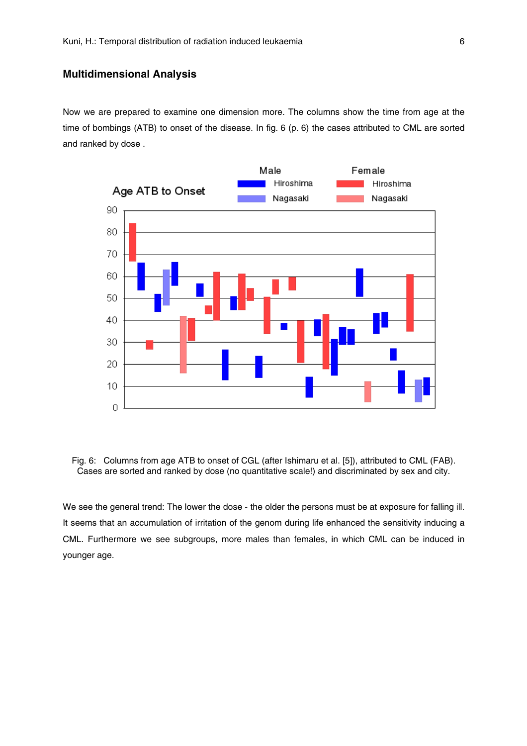## **Multidimensional Analysis**

Now we are prepared to examine one dimension more. The columns show the time from age at the time of bombings (ATB) to onset of the disease. In fig. 6 (p. 6) the cases attributed to CML are sorted and ranked by dose .



Fig. 6: Columns from age ATB to onset of CGL (after Ishimaru et al. [5]), attributed to CML (FAB). Cases are sorted and ranked by dose (no quantitative scale!) and discriminated by sex and city.

We see the general trend: The lower the dose - the older the persons must be at exposure for falling ill. It seems that an accumulation of irritation of the genom during life enhanced the sensitivity inducing a CML. Furthermore we see subgroups, more males than females, in which CML can be induced in younger age.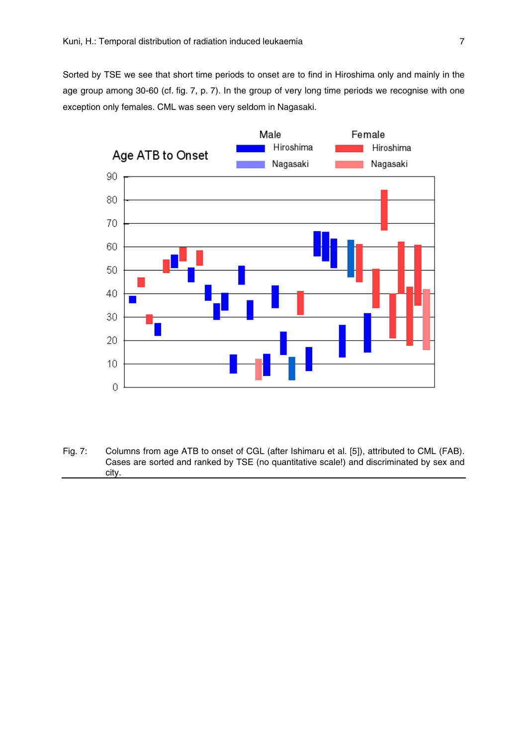Sorted by TSE we see that short time periods to onset are to find in Hiroshima only and mainly in the age group among 30-60 (cf. fig. 7, p. 7). In the group of very long time periods we recognise with one exception only females. CML was seen very seldom in Nagasaki.



Fig. 7: Columns from age ATB to onset of CGL (after Ishimaru et al. [5]), attributed to CML (FAB). Cases are sorted and ranked by TSE (no quantitative scale!) and discriminated by sex and city.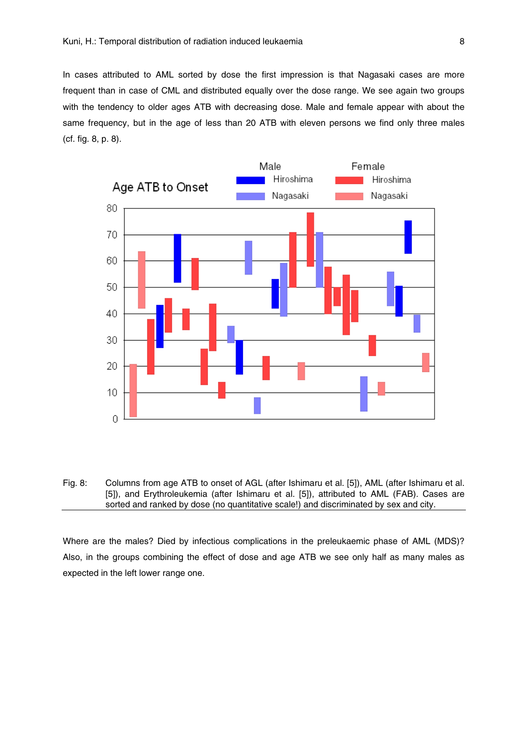In cases attributed to AML sorted by dose the first impression is that Nagasaki cases are more frequent than in case of CML and distributed equally over the dose range. We see again two groups with the tendency to older ages ATB with decreasing dose. Male and female appear with about the same frequency, but in the age of less than 20 ATB with eleven persons we find only three males (cf. fig. 8, p. 8).



Fig. 8: Columns from age ATB to onset of AGL (after Ishimaru et al. [5]), AML (after Ishimaru et al. [5]), and Erythroleukemia (after Ishimaru et al. [5]), attributed to AML (FAB). Cases are sorted and ranked by dose (no quantitative scale!) and discriminated by sex and city.

Where are the males? Died by infectious complications in the preleukaemic phase of AML (MDS)? Also, in the groups combining the effect of dose and age ATB we see only half as many males as expected in the left lower range one.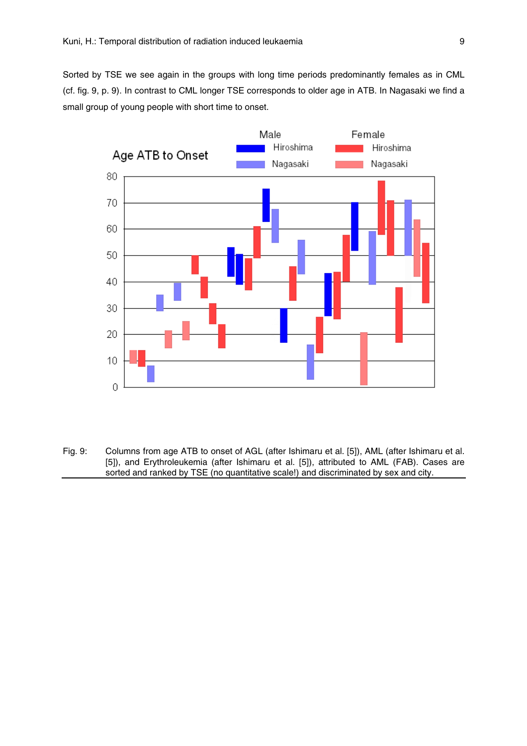Sorted by TSE we see again in the groups with long time periods predominantly females as in CML (cf. fig. 9, p. 9). In contrast to CML longer TSE corresponds to older age in ATB. In Nagasaki we find a small group of young people with short time to onset.



Fig. 9: Columns from age ATB to onset of AGL (after Ishimaru et al. [5]), AML (after Ishimaru et al. [5]), and Erythroleukemia (after Ishimaru et al. [5]), attributed to AML (FAB). Cases are sorted and ranked by TSE (no quantitative scale!) and discriminated by sex and city.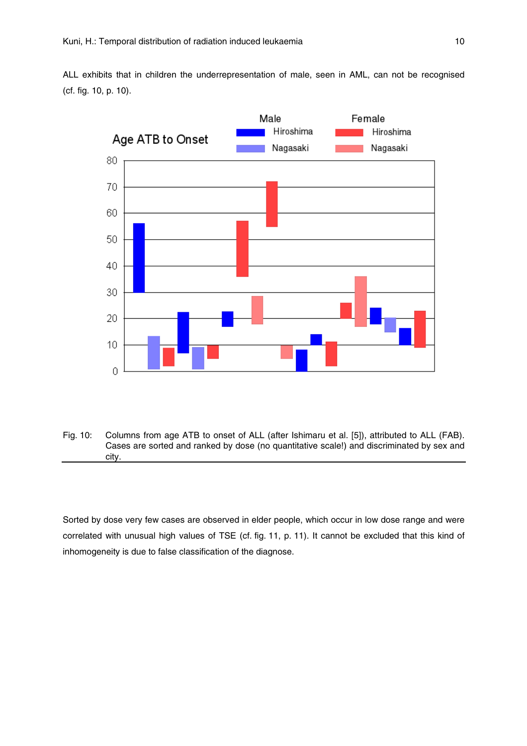ALL exhibits that in children the underrepresentation of male, seen in AML, can not be recognised (cf. fig. 10, p. 10).



Fig. 10: Columns from age ATB to onset of ALL (after Ishimaru et al. [5]), attributed to ALL (FAB). Cases are sorted and ranked by dose (no quantitative scale!) and discriminated by sex and city.

Sorted by dose very few cases are observed in elder people, which occur in low dose range and were correlated with unusual high values of TSE (cf. fig. 11, p. 11). It cannot be excluded that this kind of inhomogeneity is due to false classification of the diagnose.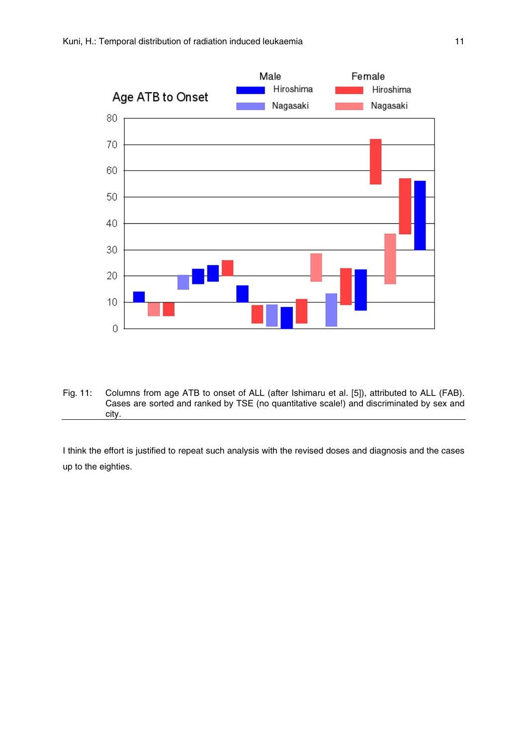

Fig. 11: Columns from age ATB to onset of ALL (after Ishimaru et al. [5]), attributed to ALL (FAB). Cases are sorted and ranked by TSE (no quantitative scale!) and discriminated by sex and city.

I think the effort is justified to repeat such analysis with the revised doses and diagnosis and the cases up to the eighties.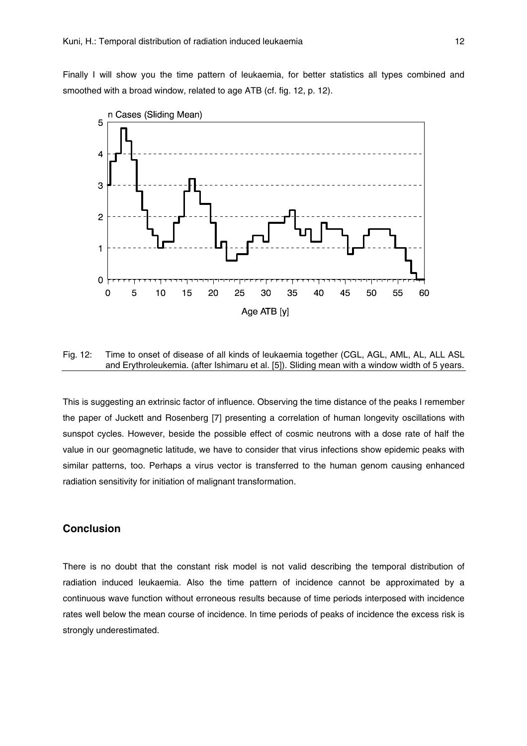Finally I will show you the time pattern of leukaemia, for better statistics all types combined and smoothed with a broad window, related to age ATB (cf. fig. 12, p. 12).



Fig. 12: Time to onset of disease of all kinds of leukaemia together (CGL, AGL, AML, AL, ALL ASL and Erythroleukemia. (after Ishimaru et al. [5]). Sliding mean with a window width of 5 years.

This is suggesting an extrinsic factor of influence. Observing the time distance of the peaks I remember the paper of Juckett and Rosenberg [7] presenting a correlation of human longevity oscillations with sunspot cycles. However, beside the possible effect of cosmic neutrons with a dose rate of half the value in our geomagnetic latitude, we have to consider that virus infections show epidemic peaks with similar patterns, too. Perhaps a virus vector is transferred to the human genom causing enhanced radiation sensitivity for initiation of malignant transformation.

### **Conclusion**

There is no doubt that the constant risk model is not valid describing the temporal distribution of radiation induced leukaemia. Also the time pattern of incidence cannot be approximated by a continuous wave function without erroneous results because of time periods interposed with incidence rates well below the mean course of incidence. In time periods of peaks of incidence the excess risk is strongly underestimated.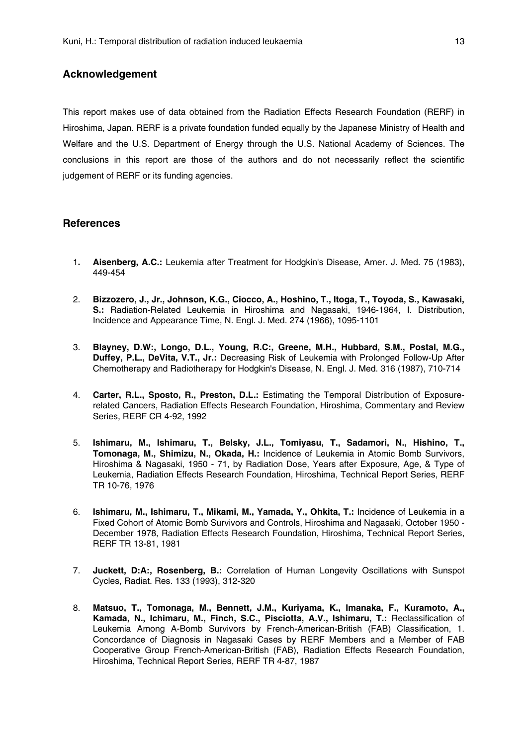### **Acknowledgement**

This report makes use of data obtained from the Radiation Effects Research Foundation (RERF) in Hiroshima, Japan. RERF is a private foundation funded equally by the Japanese Ministry of Health and Welfare and the U.S. Department of Energy through the U.S. National Academy of Sciences. The conclusions in this report are those of the authors and do not necessarily reflect the scientific judgement of RERF or its funding agencies.

#### **References**

- 1**. Aisenberg, A.C.:** Leukemia after Treatment for Hodgkin's Disease, Amer. J. Med. 75 (1983), 449-454
- 2. **Bizzozero, J., Jr., Johnson, K.G., Ciocco, A., Hoshino, T., Itoga, T., Toyoda, S., Kawasaki, S.:** Radiation-Related Leukemia in Hiroshima and Nagasaki, 1946-1964, I. Distribution, Incidence and Appearance Time, N. Engl. J. Med. 274 (1966), 1095-1101
- 3. **Blayney, D.W:, Longo, D.L., Young, R.C:, Greene, M.H., Hubbard, S.M., Postal, M.G., Duffey, P.L., DeVita, V.T., Jr.:** Decreasing Risk of Leukemia with Prolonged Follow-Up After Chemotherapy and Radiotherapy for Hodgkin's Disease, N. Engl. J. Med. 316 (1987), 710-714
- 4. **Carter, R.L., Sposto, R., Preston, D.L.:** Estimating the Temporal Distribution of Exposurerelated Cancers, Radiation Effects Research Foundation, Hiroshima, Commentary and Review Series, RERF CR 4-92, 1992
- 5. **Ishimaru, M., Ishimaru, T., Belsky, J.L., Tomiyasu, T., Sadamori, N., Hishino, T., Tomonaga, M., Shimizu, N., Okada, H.:** Incidence of Leukemia in Atomic Bomb Survivors, Hiroshima & Nagasaki, 1950 - 71, by Radiation Dose, Years after Exposure, Age, & Type of Leukemia, Radiation Effects Research Foundation, Hiroshima, Technical Report Series, RERF TR 10-76, 1976
- 6. **Ishimaru, M., Ishimaru, T., Mikami, M., Yamada, Y., Ohkita, T.:** Incidence of Leukemia in a Fixed Cohort of Atomic Bomb Survivors and Controls, Hiroshima and Nagasaki, October 1950 - December 1978, Radiation Effects Research Foundation, Hiroshima, Technical Report Series, RERF TR 13-81, 1981
- 7. **Juckett, D:A:, Rosenberg, B.:** Correlation of Human Longevity Oscillations with Sunspot Cycles, Radiat. Res. 133 (1993), 312-320
- 8. **Matsuo, T., Tomonaga, M., Bennett, J.M., Kuriyama, K., Imanaka, F., Kuramoto, A., Kamada, N., Ichimaru, M., Finch, S.C., Pisciotta, A.V., Ishimaru, T.:** Reclassification of Leukemia Among A-Bomb Survivors by French-American-British (FAB) Classification, 1. Concordance of Diagnosis in Nagasaki Cases by RERF Members and a Member of FAB Cooperative Group French-American-British (FAB), Radiation Effects Research Foundation, Hiroshima, Technical Report Series, RERF TR 4-87, 1987